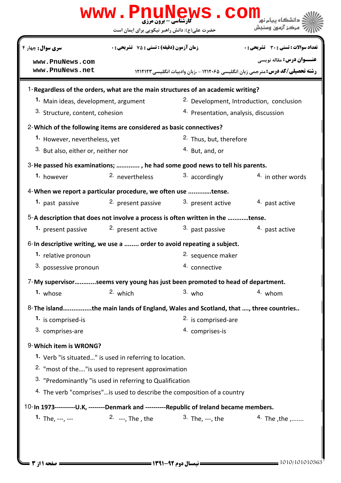| سری سوال: چهار ۴<br>www.PnuNews.com<br>www.PnuNews.net<br>1-Regardless of the orders, what are the main structures of an academic writing?<br>1. Main ideas, development, argument<br>3. Structure, content, cohesion<br>2-Which of the following items are considered as basic connectives?<br>1. However, nevertheless, yet<br><sup>3.</sup> But also, either or, neither nor<br>3-He passed his examinations; , , he had some good news to tell his parents.<br>1. however<br>4-When we report a particular procedure, we often use tense.<br>1. past passive<br>5-A description that does not involve a process is often written in the tense.<br>1. present passive<br>6-In descriptive writing, we use a  order to avoid repeating a subject. | حضرت علی(ع): دانش راهبر نیکویی برای ایمان است<br><b>زمان آزمون (دقیقه) : تستی : 75 ٪ تشریحی : 0</b><br><sup>2</sup> nevertheless<br>2. present passive | رشته تحصیلی/کد درس: مترجمی زبان انگلیسی ۱۲۱۲۰۶۵ - ،زبان وادبیات انگلیسی ۱۲۱۲۱۲۲<br><sup>2.</sup> Development, Introduction, conclusion<br><sup>4.</sup> Presentation, analysis, discussion<br><sup>2.</sup> Thus, but, therefore<br><sup>4.</sup> But, and, or<br>3. accordingly | مركز آزمون وسنجش<br><b>تعداد سوالات : تستی : 30 ٪ تشریحی : 0</b><br><b>عنـــوان درس:</b> مقاله نویسی<br>4. in other words |
|-----------------------------------------------------------------------------------------------------------------------------------------------------------------------------------------------------------------------------------------------------------------------------------------------------------------------------------------------------------------------------------------------------------------------------------------------------------------------------------------------------------------------------------------------------------------------------------------------------------------------------------------------------------------------------------------------------------------------------------------------------|--------------------------------------------------------------------------------------------------------------------------------------------------------|----------------------------------------------------------------------------------------------------------------------------------------------------------------------------------------------------------------------------------------------------------------------------------|---------------------------------------------------------------------------------------------------------------------------|
|                                                                                                                                                                                                                                                                                                                                                                                                                                                                                                                                                                                                                                                                                                                                                     |                                                                                                                                                        |                                                                                                                                                                                                                                                                                  |                                                                                                                           |
|                                                                                                                                                                                                                                                                                                                                                                                                                                                                                                                                                                                                                                                                                                                                                     |                                                                                                                                                        |                                                                                                                                                                                                                                                                                  |                                                                                                                           |
|                                                                                                                                                                                                                                                                                                                                                                                                                                                                                                                                                                                                                                                                                                                                                     |                                                                                                                                                        |                                                                                                                                                                                                                                                                                  |                                                                                                                           |
|                                                                                                                                                                                                                                                                                                                                                                                                                                                                                                                                                                                                                                                                                                                                                     |                                                                                                                                                        |                                                                                                                                                                                                                                                                                  |                                                                                                                           |
|                                                                                                                                                                                                                                                                                                                                                                                                                                                                                                                                                                                                                                                                                                                                                     |                                                                                                                                                        |                                                                                                                                                                                                                                                                                  |                                                                                                                           |
|                                                                                                                                                                                                                                                                                                                                                                                                                                                                                                                                                                                                                                                                                                                                                     |                                                                                                                                                        |                                                                                                                                                                                                                                                                                  |                                                                                                                           |
|                                                                                                                                                                                                                                                                                                                                                                                                                                                                                                                                                                                                                                                                                                                                                     |                                                                                                                                                        |                                                                                                                                                                                                                                                                                  |                                                                                                                           |
|                                                                                                                                                                                                                                                                                                                                                                                                                                                                                                                                                                                                                                                                                                                                                     |                                                                                                                                                        |                                                                                                                                                                                                                                                                                  |                                                                                                                           |
|                                                                                                                                                                                                                                                                                                                                                                                                                                                                                                                                                                                                                                                                                                                                                     |                                                                                                                                                        |                                                                                                                                                                                                                                                                                  |                                                                                                                           |
|                                                                                                                                                                                                                                                                                                                                                                                                                                                                                                                                                                                                                                                                                                                                                     |                                                                                                                                                        |                                                                                                                                                                                                                                                                                  |                                                                                                                           |
|                                                                                                                                                                                                                                                                                                                                                                                                                                                                                                                                                                                                                                                                                                                                                     |                                                                                                                                                        |                                                                                                                                                                                                                                                                                  |                                                                                                                           |
|                                                                                                                                                                                                                                                                                                                                                                                                                                                                                                                                                                                                                                                                                                                                                     |                                                                                                                                                        |                                                                                                                                                                                                                                                                                  |                                                                                                                           |
|                                                                                                                                                                                                                                                                                                                                                                                                                                                                                                                                                                                                                                                                                                                                                     |                                                                                                                                                        | 3. present active                                                                                                                                                                                                                                                                | 4. past active                                                                                                            |
|                                                                                                                                                                                                                                                                                                                                                                                                                                                                                                                                                                                                                                                                                                                                                     |                                                                                                                                                        |                                                                                                                                                                                                                                                                                  |                                                                                                                           |
|                                                                                                                                                                                                                                                                                                                                                                                                                                                                                                                                                                                                                                                                                                                                                     | <sup>2.</sup> present active                                                                                                                           | 3. past passive                                                                                                                                                                                                                                                                  | 4. past active                                                                                                            |
|                                                                                                                                                                                                                                                                                                                                                                                                                                                                                                                                                                                                                                                                                                                                                     |                                                                                                                                                        |                                                                                                                                                                                                                                                                                  |                                                                                                                           |
| 1. relative pronoun                                                                                                                                                                                                                                                                                                                                                                                                                                                                                                                                                                                                                                                                                                                                 |                                                                                                                                                        | 2. sequence maker                                                                                                                                                                                                                                                                |                                                                                                                           |
| 3. possessive pronoun                                                                                                                                                                                                                                                                                                                                                                                                                                                                                                                                                                                                                                                                                                                               |                                                                                                                                                        | 4. connective                                                                                                                                                                                                                                                                    |                                                                                                                           |
| 7-My supervisorseems very young has just been promoted to head of department.                                                                                                                                                                                                                                                                                                                                                                                                                                                                                                                                                                                                                                                                       |                                                                                                                                                        |                                                                                                                                                                                                                                                                                  |                                                                                                                           |
| 1. whose                                                                                                                                                                                                                                                                                                                                                                                                                                                                                                                                                                                                                                                                                                                                            | 2. which                                                                                                                                               | $3.$ who                                                                                                                                                                                                                                                                         | 4. whom                                                                                                                   |
| 8- The islandthe main lands of England, Wales and Scotland, that , three countries                                                                                                                                                                                                                                                                                                                                                                                                                                                                                                                                                                                                                                                                  |                                                                                                                                                        |                                                                                                                                                                                                                                                                                  |                                                                                                                           |
| 1. is comprised-is                                                                                                                                                                                                                                                                                                                                                                                                                                                                                                                                                                                                                                                                                                                                  |                                                                                                                                                        | 2. is comprised-are                                                                                                                                                                                                                                                              |                                                                                                                           |
| 3. comprises-are                                                                                                                                                                                                                                                                                                                                                                                                                                                                                                                                                                                                                                                                                                                                    |                                                                                                                                                        | 4. comprises-is                                                                                                                                                                                                                                                                  |                                                                                                                           |
| 9-Which item is WRONG?                                                                                                                                                                                                                                                                                                                                                                                                                                                                                                                                                                                                                                                                                                                              |                                                                                                                                                        |                                                                                                                                                                                                                                                                                  |                                                                                                                           |
| 1. Verb "is situated" is used in referring to location.                                                                                                                                                                                                                                                                                                                                                                                                                                                                                                                                                                                                                                                                                             |                                                                                                                                                        |                                                                                                                                                                                                                                                                                  |                                                                                                                           |
| <sup>2.</sup> "most of the" is used to represent approximation                                                                                                                                                                                                                                                                                                                                                                                                                                                                                                                                                                                                                                                                                      |                                                                                                                                                        |                                                                                                                                                                                                                                                                                  |                                                                                                                           |
| <sup>3.</sup> "Predominantly "is used in referring to Qualification                                                                                                                                                                                                                                                                                                                                                                                                                                                                                                                                                                                                                                                                                 |                                                                                                                                                        |                                                                                                                                                                                                                                                                                  |                                                                                                                           |
| 4. The verb "comprises" is used to describe the composition of a country                                                                                                                                                                                                                                                                                                                                                                                                                                                                                                                                                                                                                                                                            |                                                                                                                                                        |                                                                                                                                                                                                                                                                                  |                                                                                                                           |
| 10-In 1973-----------U.K, --------Denmark and ----------Republic of Ireland became members.                                                                                                                                                                                                                                                                                                                                                                                                                                                                                                                                                                                                                                                         |                                                                                                                                                        |                                                                                                                                                                                                                                                                                  |                                                                                                                           |
| <b>1.</b> The, $---$ , $-- 2.$ $---$ , The, the                                                                                                                                                                                                                                                                                                                                                                                                                                                                                                                                                                                                                                                                                                     |                                                                                                                                                        | <sup>3.</sup> The, ---, the                                                                                                                                                                                                                                                      | $4.$ The the $1.11$                                                                                                       |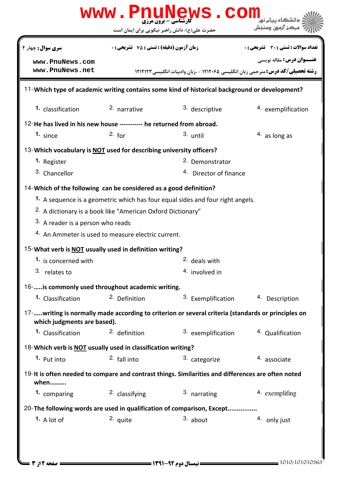| www.PnuNews.com                                                                               |                                                    |                                                                                                      |                                       |  |  |  |
|-----------------------------------------------------------------------------------------------|----------------------------------------------------|------------------------------------------------------------------------------------------------------|---------------------------------------|--|--|--|
|                                                                                               |                                                    | حضرت علی(ع): دانش راهبر نیکویی برای ایمان است                                                        | مركز آزمون وسندش                      |  |  |  |
| <b>سری سوال :</b> چهار ۴                                                                      | <b>زمان آزمون (دقیقه) : تستی : 75 ٪ تشریحی : 0</b> |                                                                                                      | تعداد سوالات : تستي : 30 ٪ تشريحي : 0 |  |  |  |
| www.PnuNews.com                                                                               |                                                    |                                                                                                      | <b>عنـــوان درس:</b> مقاله نویسی      |  |  |  |
| www.PnuNews.net                                                                               |                                                    | <b>رشته تحصیلی/کد درس:</b> مترجمی زبان انگلیسی ۱۲۱۲۰۶۵ - ،زبان وادبیات انگلیسی ۱۲۱۲۱۲۳               |                                       |  |  |  |
| 11-Which type of academic writing contains some kind of historical background or development? |                                                    |                                                                                                      |                                       |  |  |  |
| 1. classification                                                                             | 2. narrative                                       | 3. descriptive                                                                                       | 4. exemplification                    |  |  |  |
| 12-He has lived in his new house ----------- he returned from abroad.                         |                                                    |                                                                                                      |                                       |  |  |  |
| 1. since                                                                                      | 2. for                                             | $3.$ until                                                                                           | 4. as long as                         |  |  |  |
| 13-Which vocabulary is NOT used for describing university officers?                           |                                                    |                                                                                                      |                                       |  |  |  |
| 1. Register                                                                                   |                                                    | 2. Demonstrator                                                                                      |                                       |  |  |  |
| 3. Chancellor                                                                                 |                                                    | <sup>4.</sup> Director of finance                                                                    |                                       |  |  |  |
| 14-Which of the following can be considered as a good definition?                             |                                                    |                                                                                                      |                                       |  |  |  |
|                                                                                               |                                                    | 1. A sequence is a geometric which has four equal sides and four right angels.                       |                                       |  |  |  |
| <sup>2.</sup> A dictionary is a book like "American Oxford Dictionary"                        |                                                    |                                                                                                      |                                       |  |  |  |
| <sup>3.</sup> A reader is a person who reads                                                  |                                                    |                                                                                                      |                                       |  |  |  |
| 4. An Ammeter is used to measure electric current.                                            |                                                    |                                                                                                      |                                       |  |  |  |
| 15-What verb is NOT usually used in definition writing?                                       |                                                    |                                                                                                      |                                       |  |  |  |
| 1. is concerned with                                                                          |                                                    | <sup>2.</sup> deals with                                                                             |                                       |  |  |  |
| 3. relates to                                                                                 |                                                    | 4. involved in                                                                                       |                                       |  |  |  |
| 16-  is commonly used throughout academic writing.                                            |                                                    |                                                                                                      |                                       |  |  |  |
| 1. Classification                                                                             | <sup>2</sup> Definition                            | 3. Exemplification                                                                                   | 4. Description                        |  |  |  |
| which judgments are based).                                                                   |                                                    | 17-  writing is normally made according to criterion or several criteria (standards or principles on |                                       |  |  |  |
| <b>1.</b> Classification                                                                      | <sup>2</sup> definition                            | 3. exemplification                                                                                   | 4. Qualification                      |  |  |  |
| 18-Which verb is NOT usually used in classification writing?                                  |                                                    |                                                                                                      |                                       |  |  |  |
| 1. Put into                                                                                   | 2. fall into                                       | 3. categorize                                                                                        | 4. associate                          |  |  |  |
| when                                                                                          |                                                    | 19-It is often needed to compare and contrast things. Similarities and differences are often noted   |                                       |  |  |  |
| 1. comparing                                                                                  | <sup>2</sup> classifying                           | 3. narrating                                                                                         | 4. exemplifing                        |  |  |  |
|                                                                                               |                                                    | 20-The following words are used in qualification of comparison, Except                               |                                       |  |  |  |
| 1. A lot of                                                                                   | 2. quite                                           | $3.$ about                                                                                           | 4. only just                          |  |  |  |
|                                                                                               |                                                    |                                                                                                      |                                       |  |  |  |